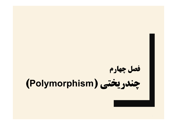# **فصل چهارم چندریختی (Polymorphism(**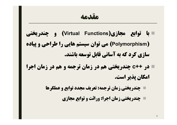- **با توابع مجازي(Functions Virtual (و چندریختی (Polymorphism (می توان سیستم هایی را طراحی و پیاده سازي کرد که به آسانی قابل توسعه باشند.**
- **در ++c چندریختی هم در زمان ترجمه و هم در زمان اجرا امکان پذیر است.**
	- **چندریختی زمان ترجمه: تعریف مجدد توابع و عملگرها**
		- **چندریختی زمان اجرا: وراثت و توابع مجازي**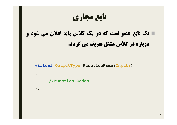**تابع مجازي یک تابع عضو است که در یک کلاس پایه اعلان می شود و دوباره در کلاس مشتق تعریف می گردد. virtual OutputType FunctionName(Inputs) { //Function Codes**

**};**

3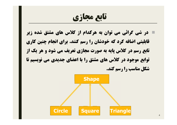**تابع مجازي**

 **در شی گرائی می توان به هرکدام از کلاس هاي مشتق شده زیر قابلیتی اضافه کرد که خودشان را رسم کنند. براي انجام چنین کاري تابع رسم در کلاس پایه به صورت مجازي تعریف می شود و هر یک از توابع موجود در کلاس هاي مشتق را با اعضاي جدیدي می نویسیم تا شکل مناسب را رسم کند.**

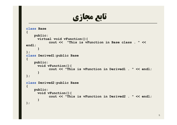**تابع مجازي**

```
class Base
{
   public:
     virtual void vFunction(){
           cout << "This is vFunction in Base class . " << 
endl;
      } 
};
class Derived1:public Base
{
   public:
     void vFunction(){
           cout << "This is vFunction in Derived1 . " << endl;
      }
};
class Derived2:public Base
{
   public:
     void vFunction(){
           cout << "This is vFunction in Derived2 . " << endl;
      }
};
```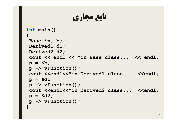**تابع مجازي**

```
int main()
{
Base *p, b;
Derived1 d1;
Derived2 d2;
 cout << endl << "in Base class..." << endl;
p = &b;
p -> vFunction();
 cout <<endl<<"in Derived1 class..." <<endl;
p = &d1;
p -> vFunction();
cout <<endl<<"in Derived2 class..." <<endl;
p = &d2;
p -> vFunction();
}
```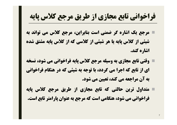#### **فراخوانی تابع مجازي از طریق مرجع کلاس پایه**

- **مرجع یک اشاره گر ضمنی است بنابراین، مرجع کلاس می تواند به شیئی از کلاس پایه یا هر شیئی از کلاسی که از کلاس پایه مشتق شده اشاره کند.**
- **وقتی تابع مجازي به وسیله مرجع کلاس پایه فراخوانی می شود، نسخه اي از تابع که اجرا می گردد، با توجه به شیئی که در هنگام فراخوانی به آن مراجعه می کند، تعیین می شود.**
- **متداول ترین حالتی که تابع مجازي از طریق مرجع کلاس پایه فراخوانی می شود، هنگامی است که مرجع به عنوان پارامتر تابع است.**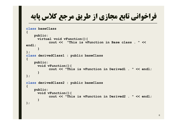**فراخوانی تابع مجازي از طریق مرجع کلاس پایه class baseClass { public: virtual void vFunction(){ cout << "This is vFunction in Base class . " << endl; } }; class derivedClass1 : public baseClass { public: void vFunction(){ cout << "This is vFunction in Derived1 . " << endl; } }; class derivedClass2 : public baseClass**

```
{
   public:
     void vFunction(){
           cout << "This is vFunction in Derived2 . " << endl;
      }
};
```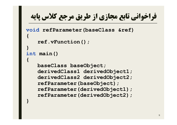## **فراخوانی تابع مجازي از طریق مرجع کلاس پایه**

```
void refParameter(baseClass &ref)
{
   ref.vFunction();
}
int main()
{
   baseClass baseObject;
   derivedClass1 derivedObject1;
   derivedClass2 derivedObject2;
   refParameter(baseObject);
   refParameter(derivedObject1);
   refParameter(derivedObject2);
}
```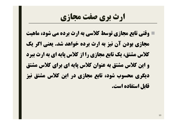### **ارث بري صفت مجازي**

 **وقتی تابع مجازي توسط کلاسی به ارث برده می شود، ماهیت مجازي بودن آن نیز به ارث برده خواهد شد. یعنی اگر یک کلاس مشتق، یک تابع مجازي را از کلاس پایه اي به ارث ببرد و این کلاس مشتق به عنوان کلاس پایه اي براي کلاس مشتق دیگري محسوب شود، تابع مجازي در این کلاس مشتق نیز قابل استفاده است.**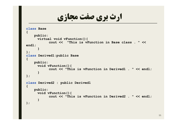**ارث بري صفت مجازي**

```
class Base
{
   public:
     virtual void vFunction(){
           cout << "This is vFunction in Base class . " << 
endl;
      } 
};
class Derived1:public Base
{
   public:
     void vFunction(){
           cout << "This is vFunction in Derived1 . " << endl;
      }
};
class Derived2 : public Derived1
{
   public:
     void vFunction(){
           cout << "This is vFunction in Derived2 . " << endl;
      }
};
```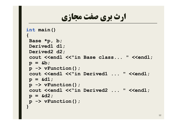**ارث بري صفت مجازي**

```
int main()
{
Base *p, b;
Derived1 d1;
Derived2 d2;
 cout <<endl <<"in Base class... " <<endl;
p = &b;
p -> vFunction();
 cout <<endl <<"in Derived1 ... " <<endl;
p = &d1;
p -> vFunction();
 cout <<endl <<"in Derived2 ... " <<endl;
p = &d2;
p -> vFunction();
}
```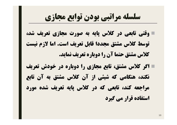## **سلسله مراتبی بودن توابع مجازي**

 **وقتی تابعی در کلاس پایه به صورت مجازي تعریف شد، توسط کلاس مشتق مجددا قابل تعریف است. اما لازم نیست کلاس مشتق حتما آن را دوباره تعریف نماید.**

 **اگر کلاس مشتق، تابع مجازي را دوباره در خودش تعریف نکند، هنگامی که شیئی از آن کلاس مشتق به آن تابع مراجعه کند، تابعی که در کلاس پایه تعریف شده مورد استفاده قرار می گیرد**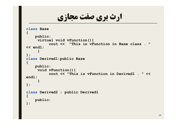**ارث بري صفت مجازي**

```
class Base
{
   public:
     virtual void vFunction(){
          cout << "This is vFunction in Base class . " 
<< endl;
     } 
};
class Derived1:public Base
{
   public:
     void vFunction(){
          cout << "This is vFunction in Derived1 . " << 
endl;
     }
};
class Derived2 : public Derived1
{
   public:
};
```